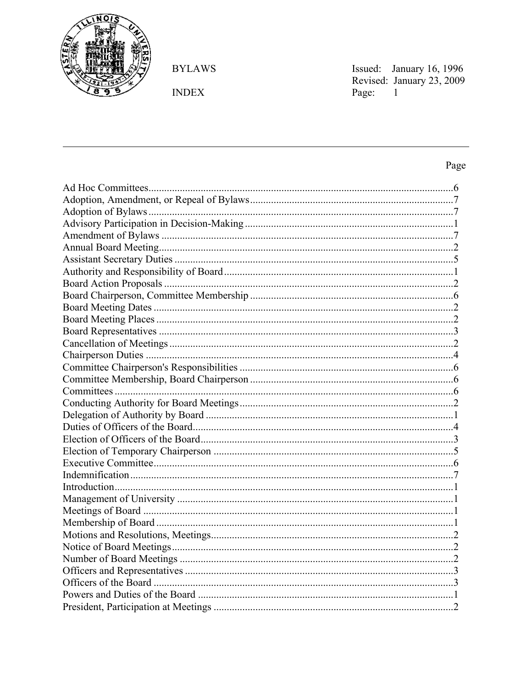

**BYLAWS** 

 $\ensuremath{\mathsf{INDEX}}$ 

Issued: January 16, 1996<br>Revised: January 23, 2009<br>Page: 1

Page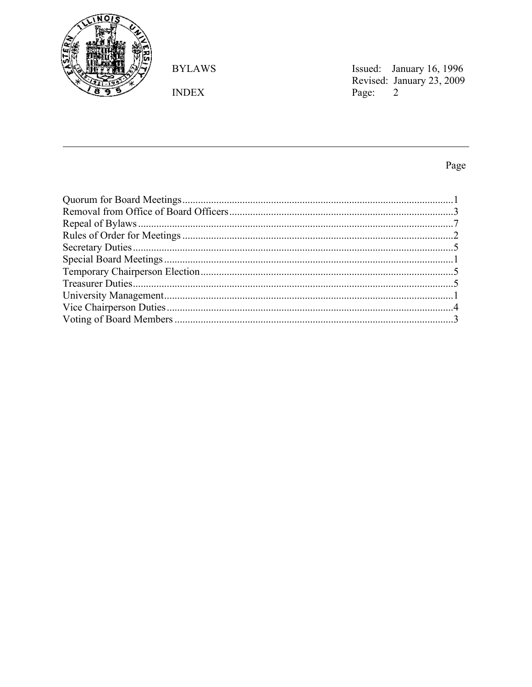

**BYLAWS** 

 $\ensuremath{\mathsf{INDEX}}$ 

Issued: January 16, 1996<br>Revised: January 23, 2009<br>Page: 2

Page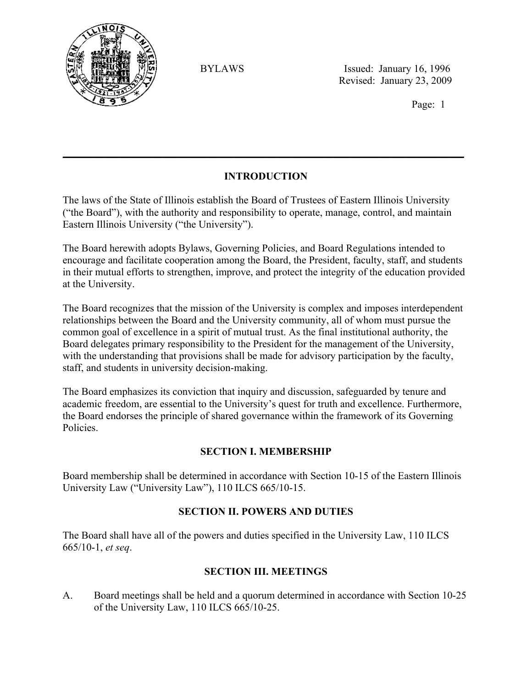

Page: 1

# **INTRODUCTION**

 $\mathcal{L}_\mathcal{L} = \mathcal{L}_\mathcal{L} = \mathcal{L}_\mathcal{L} = \mathcal{L}_\mathcal{L} = \mathcal{L}_\mathcal{L} = \mathcal{L}_\mathcal{L} = \mathcal{L}_\mathcal{L} = \mathcal{L}_\mathcal{L} = \mathcal{L}_\mathcal{L} = \mathcal{L}_\mathcal{L} = \mathcal{L}_\mathcal{L} = \mathcal{L}_\mathcal{L} = \mathcal{L}_\mathcal{L} = \mathcal{L}_\mathcal{L} = \mathcal{L}_\mathcal{L} = \mathcal{L}_\mathcal{L} = \mathcal{L}_\mathcal{L}$ 

The laws of the State of Illinois establish the Board of Trustees of Eastern Illinois University ("the Board"), with the authority and responsibility to operate, manage, control, and maintain Eastern Illinois University ("the University").

The Board herewith adopts Bylaws, Governing Policies, and Board Regulations intended to encourage and facilitate cooperation among the Board, the President, faculty, staff, and students in their mutual efforts to strengthen, improve, and protect the integrity of the education provided at the University.

The Board recognizes that the mission of the University is complex and imposes interdependent relationships between the Board and the University community, all of whom must pursue the common goal of excellence in a spirit of mutual trust. As the final institutional authority, the Board delegates primary responsibility to the President for the management of the University, with the understanding that provisions shall be made for advisory participation by the faculty, staff, and students in university decision-making.

The Board emphasizes its conviction that inquiry and discussion, safeguarded by tenure and academic freedom, are essential to the University's quest for truth and excellence. Furthermore, the Board endorses the principle of shared governance within the framework of its Governing **Policies** 

### **SECTION I. MEMBERSHIP**

Board membership shall be determined in accordance with Section 10-15 of the Eastern Illinois University Law ("University Law"), 110 ILCS 665/10-15.

### **SECTION II. POWERS AND DUTIES**

The Board shall have all of the powers and duties specified in the University Law, 110 ILCS 665/10-1, *et seq*.

### **SECTION III. MEETINGS**

A. Board meetings shall be held and a quorum determined in accordance with Section 10-25 of the University Law, 110 ILCS 665/10-25.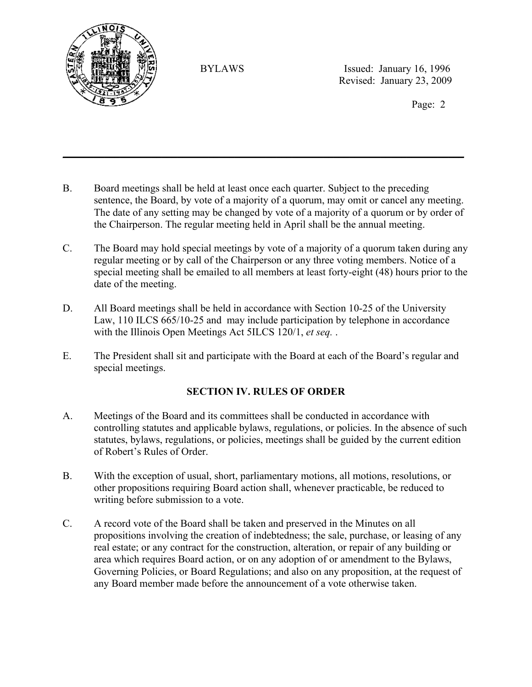

Page: 2

B. Board meetings shall be held at least once each quarter. Subject to the preceding sentence, the Board, by vote of a majority of a quorum, may omit or cancel any meeting. The date of any setting may be changed by vote of a majority of a quorum or by order of the Chairperson. The regular meeting held in April shall be the annual meeting.

 $\mathcal{L}_\mathcal{L} = \mathcal{L}_\mathcal{L} = \mathcal{L}_\mathcal{L} = \mathcal{L}_\mathcal{L} = \mathcal{L}_\mathcal{L} = \mathcal{L}_\mathcal{L} = \mathcal{L}_\mathcal{L} = \mathcal{L}_\mathcal{L} = \mathcal{L}_\mathcal{L} = \mathcal{L}_\mathcal{L} = \mathcal{L}_\mathcal{L} = \mathcal{L}_\mathcal{L} = \mathcal{L}_\mathcal{L} = \mathcal{L}_\mathcal{L} = \mathcal{L}_\mathcal{L} = \mathcal{L}_\mathcal{L} = \mathcal{L}_\mathcal{L}$ 

- C. The Board may hold special meetings by vote of a majority of a quorum taken during any regular meeting or by call of the Chairperson or any three voting members. Notice of a special meeting shall be emailed to all members at least forty-eight (48) hours prior to the date of the meeting.
- D. All Board meetings shall be held in accordance with Section 10-25 of the University Law, 110 ILCS 665/10-25 and may include participation by telephone in accordance with the Illinois Open Meetings Act 5ILCS 120/1, *et seq.* .
- E. The President shall sit and participate with the Board at each of the Board's regular and special meetings.

### **SECTION IV. RULES OF ORDER**

- A. Meetings of the Board and its committees shall be conducted in accordance with controlling statutes and applicable bylaws, regulations, or policies. In the absence of such statutes, bylaws, regulations, or policies, meetings shall be guided by the current edition of Robert's Rules of Order.
- B. With the exception of usual, short, parliamentary motions, all motions, resolutions, or other propositions requiring Board action shall, whenever practicable, be reduced to writing before submission to a vote.
- C. A record vote of the Board shall be taken and preserved in the Minutes on all propositions involving the creation of indebtedness; the sale, purchase, or leasing of any real estate; or any contract for the construction, alteration, or repair of any building or area which requires Board action, or on any adoption of or amendment to the Bylaws, Governing Policies, or Board Regulations; and also on any proposition, at the request of any Board member made before the announcement of a vote otherwise taken.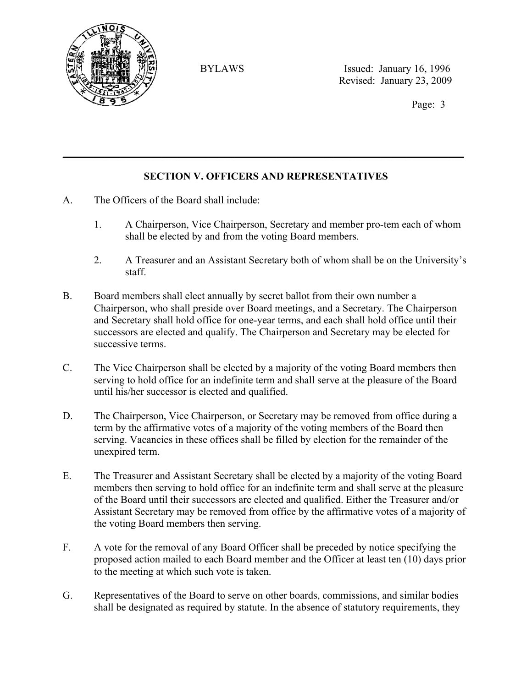

Page: 3

### **SECTION V. OFFICERS AND REPRESENTATIVES**

 $\mathcal{L}_\mathcal{L} = \mathcal{L}_\mathcal{L} = \mathcal{L}_\mathcal{L} = \mathcal{L}_\mathcal{L} = \mathcal{L}_\mathcal{L} = \mathcal{L}_\mathcal{L} = \mathcal{L}_\mathcal{L} = \mathcal{L}_\mathcal{L} = \mathcal{L}_\mathcal{L} = \mathcal{L}_\mathcal{L} = \mathcal{L}_\mathcal{L} = \mathcal{L}_\mathcal{L} = \mathcal{L}_\mathcal{L} = \mathcal{L}_\mathcal{L} = \mathcal{L}_\mathcal{L} = \mathcal{L}_\mathcal{L} = \mathcal{L}_\mathcal{L}$ 

- A. The Officers of the Board shall include:
	- 1. A Chairperson, Vice Chairperson, Secretary and member pro-tem each of whom shall be elected by and from the voting Board members.
	- 2. A Treasurer and an Assistant Secretary both of whom shall be on the University's staff.
- B. Board members shall elect annually by secret ballot from their own number a Chairperson, who shall preside over Board meetings, and a Secretary. The Chairperson and Secretary shall hold office for one-year terms, and each shall hold office until their successors are elected and qualify. The Chairperson and Secretary may be elected for successive terms.
- C. The Vice Chairperson shall be elected by a majority of the voting Board members then serving to hold office for an indefinite term and shall serve at the pleasure of the Board until his/her successor is elected and qualified.
- D. The Chairperson, Vice Chairperson, or Secretary may be removed from office during a term by the affirmative votes of a majority of the voting members of the Board then serving. Vacancies in these offices shall be filled by election for the remainder of the unexpired term.
- E. The Treasurer and Assistant Secretary shall be elected by a majority of the voting Board members then serving to hold office for an indefinite term and shall serve at the pleasure of the Board until their successors are elected and qualified. Either the Treasurer and/or Assistant Secretary may be removed from office by the affirmative votes of a majority of the voting Board members then serving.
- F. A vote for the removal of any Board Officer shall be preceded by notice specifying the proposed action mailed to each Board member and the Officer at least ten (10) days prior to the meeting at which such vote is taken.
- G. Representatives of the Board to serve on other boards, commissions, and similar bodies shall be designated as required by statute. In the absence of statutory requirements, they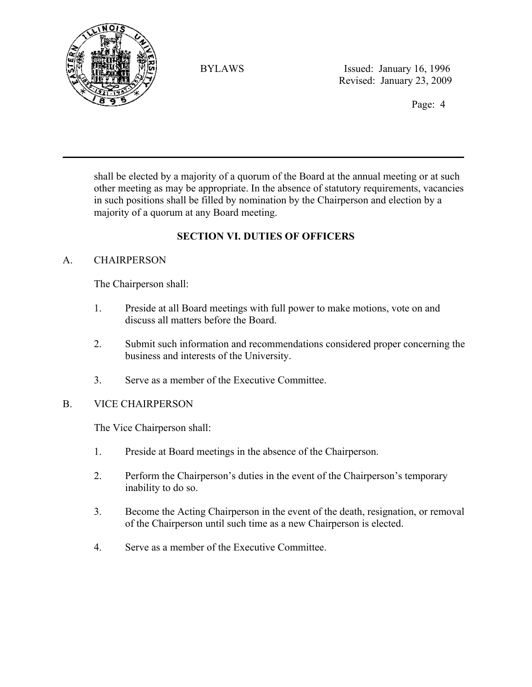

Page: 4

shall be elected by a majority of a quorum of the Board at the annual meeting or at such other meeting as may be appropriate. In the absence of statutory requirements, vacancies in such positions shall be filled by nomination by the Chairperson and election by a majority of a quorum at any Board meeting.

# **SECTION VI. DUTIES OF OFFICERS**

 $\mathcal{L}_\mathcal{L} = \mathcal{L}_\mathcal{L} = \mathcal{L}_\mathcal{L} = \mathcal{L}_\mathcal{L} = \mathcal{L}_\mathcal{L} = \mathcal{L}_\mathcal{L} = \mathcal{L}_\mathcal{L} = \mathcal{L}_\mathcal{L} = \mathcal{L}_\mathcal{L} = \mathcal{L}_\mathcal{L} = \mathcal{L}_\mathcal{L} = \mathcal{L}_\mathcal{L} = \mathcal{L}_\mathcal{L} = \mathcal{L}_\mathcal{L} = \mathcal{L}_\mathcal{L} = \mathcal{L}_\mathcal{L} = \mathcal{L}_\mathcal{L}$ 

### A. CHAIRPERSON

The Chairperson shall:

- 1. Preside at all Board meetings with full power to make motions, vote on and discuss all matters before the Board.
- 2. Submit such information and recommendations considered proper concerning the business and interests of the University.
- 3. Serve as a member of the Executive Committee.

#### B. VICE CHAIRPERSON

The Vice Chairperson shall:

- 1. Preside at Board meetings in the absence of the Chairperson.
- 2. Perform the Chairperson's duties in the event of the Chairperson's temporary inability to do so.
- 3. Become the Acting Chairperson in the event of the death, resignation, or removal of the Chairperson until such time as a new Chairperson is elected.
- 4. Serve as a member of the Executive Committee.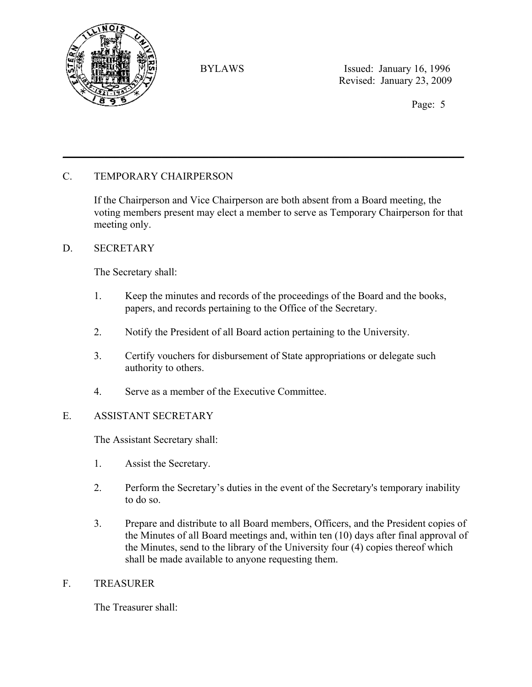

Page: 5

### C. TEMPORARY CHAIRPERSON

If the Chairperson and Vice Chairperson are both absent from a Board meeting, the voting members present may elect a member to serve as Temporary Chairperson for that meeting only.

 $\mathcal{L}_\mathcal{L} = \mathcal{L}_\mathcal{L} = \mathcal{L}_\mathcal{L} = \mathcal{L}_\mathcal{L} = \mathcal{L}_\mathcal{L} = \mathcal{L}_\mathcal{L} = \mathcal{L}_\mathcal{L} = \mathcal{L}_\mathcal{L} = \mathcal{L}_\mathcal{L} = \mathcal{L}_\mathcal{L} = \mathcal{L}_\mathcal{L} = \mathcal{L}_\mathcal{L} = \mathcal{L}_\mathcal{L} = \mathcal{L}_\mathcal{L} = \mathcal{L}_\mathcal{L} = \mathcal{L}_\mathcal{L} = \mathcal{L}_\mathcal{L}$ 

#### D. SECRETARY

The Secretary shall:

- 1. Keep the minutes and records of the proceedings of the Board and the books, papers, and records pertaining to the Office of the Secretary.
- 2. Notify the President of all Board action pertaining to the University.
- 3. Certify vouchers for disbursement of State appropriations or delegate such authority to others.
- 4. Serve as a member of the Executive Committee.

#### E. ASSISTANT SECRETARY

The Assistant Secretary shall:

- 1. Assist the Secretary.
- 2. Perform the Secretary's duties in the event of the Secretary's temporary inability to do so.
- 3. Prepare and distribute to all Board members, Officers, and the President copies of the Minutes of all Board meetings and, within ten (10) days after final approval of the Minutes, send to the library of the University four (4) copies thereof which shall be made available to anyone requesting them.

#### F. TREASURER

The Treasurer shall: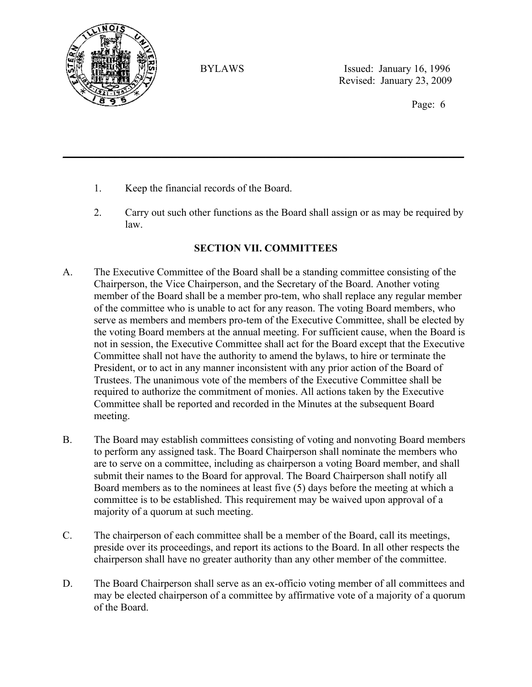

Page: 6

- 1. Keep the financial records of the Board.
- 2. Carry out such other functions as the Board shall assign or as may be required by law.

# **SECTION VII. COMMITTEES**

 $\mathcal{L}_\mathcal{L} = \mathcal{L}_\mathcal{L} = \mathcal{L}_\mathcal{L} = \mathcal{L}_\mathcal{L} = \mathcal{L}_\mathcal{L} = \mathcal{L}_\mathcal{L} = \mathcal{L}_\mathcal{L} = \mathcal{L}_\mathcal{L} = \mathcal{L}_\mathcal{L} = \mathcal{L}_\mathcal{L} = \mathcal{L}_\mathcal{L} = \mathcal{L}_\mathcal{L} = \mathcal{L}_\mathcal{L} = \mathcal{L}_\mathcal{L} = \mathcal{L}_\mathcal{L} = \mathcal{L}_\mathcal{L} = \mathcal{L}_\mathcal{L}$ 

- A. The Executive Committee of the Board shall be a standing committee consisting of the Chairperson, the Vice Chairperson, and the Secretary of the Board. Another voting member of the Board shall be a member pro-tem, who shall replace any regular member of the committee who is unable to act for any reason. The voting Board members, who serve as members and members pro-tem of the Executive Committee, shall be elected by the voting Board members at the annual meeting. For sufficient cause, when the Board is not in session, the Executive Committee shall act for the Board except that the Executive Committee shall not have the authority to amend the bylaws, to hire or terminate the President, or to act in any manner inconsistent with any prior action of the Board of Trustees. The unanimous vote of the members of the Executive Committee shall be required to authorize the commitment of monies. All actions taken by the Executive Committee shall be reported and recorded in the Minutes at the subsequent Board meeting.
- B. The Board may establish committees consisting of voting and nonvoting Board members to perform any assigned task. The Board Chairperson shall nominate the members who are to serve on a committee, including as chairperson a voting Board member, and shall submit their names to the Board for approval. The Board Chairperson shall notify all Board members as to the nominees at least five (5) days before the meeting at which a committee is to be established. This requirement may be waived upon approval of a majority of a quorum at such meeting.
- C. The chairperson of each committee shall be a member of the Board, call its meetings, preside over its proceedings, and report its actions to the Board. In all other respects the chairperson shall have no greater authority than any other member of the committee.
- D. The Board Chairperson shall serve as an ex-officio voting member of all committees and may be elected chairperson of a committee by affirmative vote of a majority of a quorum of the Board.